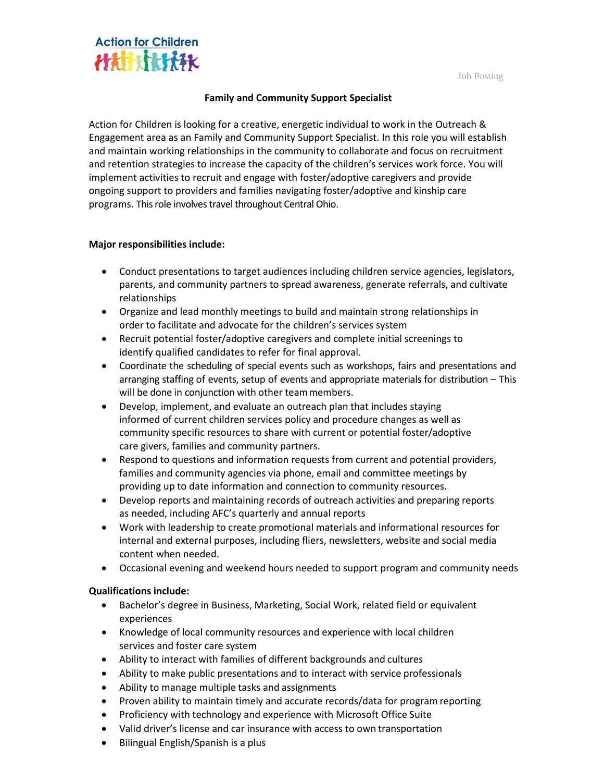Job Posting



## **Family and Community Support Specialist**

Action for Children is looking for a creative, energetic individual to work in the Outreach & Engagement area as an Family and Community Support Specialist. In this role you will establish and maintain working relationships in the community to collaborate and focus on recruitment and retention strategies to increase the capacity of the children's services work force. You will implement activities to recruit and engage with foster/adoptive caregivers and provide ongoing support to providers and families navigating foster/adoptive and kinship care programs. This role involves travel throughout Central Ohio.

## **Major responsibilities include:**

- Conduct presentations to target audiences including children service agencies, legislators, parents, and community partners to spread awareness, generate referrals, and cultivate relationships
- Organize and lead monthly meetings to build and maintain strong relationships in order to facilitate and advocate for the children's services system
- Recruit potential foster/adoptive caregivers and complete initial screenings to identify qualified candidates to refer for final approval.
- Coordinate the scheduling of special events such as workshops, fairs and presentations and arranging staffing of events, setup of events and appropriate materials for distribution – This will be done in conjunction with other teammembers.
- Develop, implement, and evaluate an outreach plan that includes staying informed of current children services policy and procedure changes as well as community specific resources to share with current or potential foster/adoptive care givers, families and community partners.
- Respond to questions and information requests from current and potential providers, families and community agencies via phone, email and committee meetings by providing up to date information and connection to community resources.
- Develop reports and maintaining records of outreach activities and preparing reports as needed, including AFC's quarterly and annual reports
- Work with leadership to create promotional materials and informational resources for internal and external purposes, including fliers, newsletters, website and social media content when needed.
- Occasional evening and weekend hours needed to support program and community needs

## **Qualifications include:**

- Bachelor's degree in Business, Marketing, Social Work, related field or equivalent experiences
- Knowledge of local community resources and experience with local children services and foster care system
- Ability to interact with families of different backgrounds and cultures
- Ability to make public presentations and to interact with service professionals
- Ability to manage multiple tasks and assignments
- Proven ability to maintain timely and accurate records/data for program reporting
- Proficiency with technology and experience with Microsoft Office Suite
- Valid driver's license and car insurance with access to own transportation
- Bilingual English/Spanish is a plus